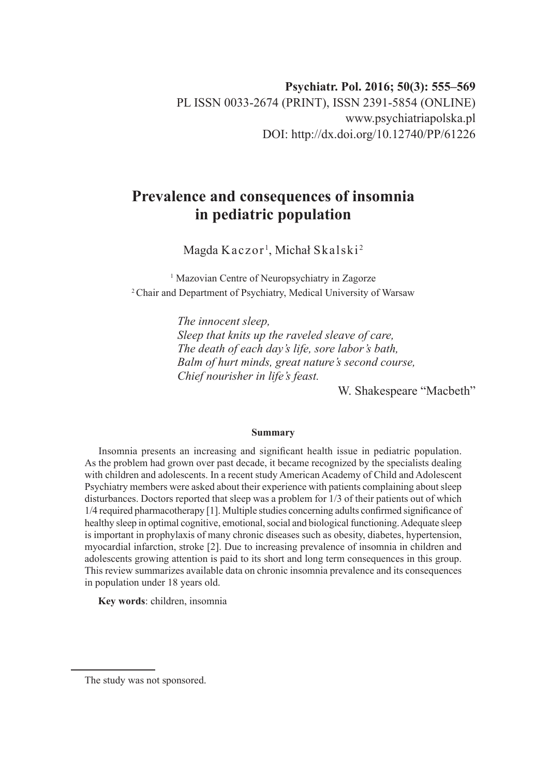# **Prevalence and consequences of insomnia in pediatric population**

Magda  $\rm K$ aczor $^1$ , Michał S $\rm k$ als $\rm ki^2$ 

<sup>1</sup> Mazovian Centre of Neuropsychiatry in Zagorze 2 Chair and Department of Psychiatry, Medical University of Warsaw

> *The innocent sleep, Sleep that knits up the raveled sleave of care, The death of each day's life, sore labor's bath, Balm of hurt minds, great nature's second course, Chief nourisher in life's feast.*

> > W. Shakespeare "Macbeth"

#### **Summary**

Insomnia presents an increasing and significant health issue in pediatric population. As the problem had grown over past decade, it became recognized by the specialists dealing with children and adolescents. In a recent study American Academy of Child and Adolescent Psychiatry members were asked about their experience with patients complaining about sleep disturbances. Doctors reported that sleep was a problem for 1/3 of their patients out of which 1/4 required pharmacotherapy [1]. Multiple studies concerning adults confirmed significance of healthy sleep in optimal cognitive, emotional, social and biological functioning. Adequate sleep is important in prophylaxis of many chronic diseases such as obesity, diabetes, hypertension, myocardial infarction, stroke [2]. Due to increasing prevalence of insomnia in children and adolescents growing attention is paid to its short and long term consequences in this group. This review summarizes available data on chronic insomnia prevalence and its consequences in population under 18 years old.

**Key words**: children, insomnia

The study was not sponsored.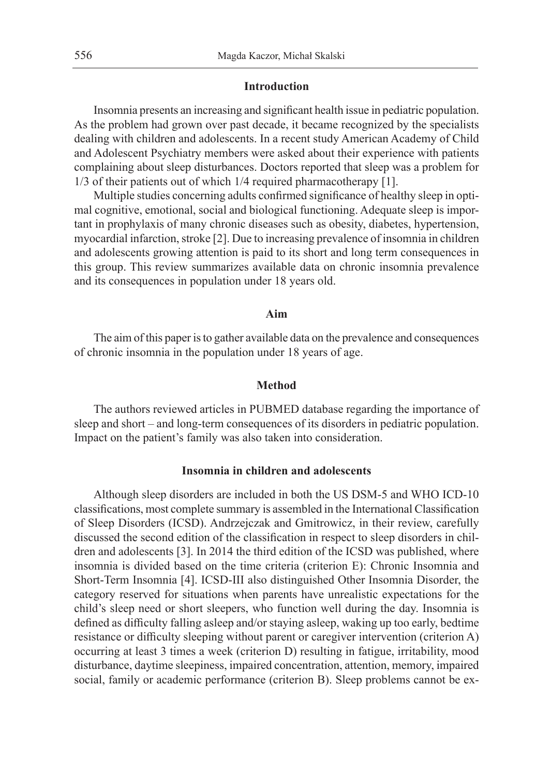## **Introduction**

Insomnia presents an increasing and significant health issue in pediatric population. As the problem had grown over past decade, it became recognized by the specialists dealing with children and adolescents. In a recent study American Academy of Child and Adolescent Psychiatry members were asked about their experience with patients complaining about sleep disturbances. Doctors reported that sleep was a problem for 1/3 of their patients out of which 1/4 required pharmacotherapy [1].

Multiple studies concerning adults confirmed significance of healthy sleep in optimal cognitive, emotional, social and biological functioning. Adequate sleep is important in prophylaxis of many chronic diseases such as obesity, diabetes, hypertension, myocardial infarction, stroke [2]. Due to increasing prevalence of insomnia in children and adolescents growing attention is paid to its short and long term consequences in this group. This review summarizes available data on chronic insomnia prevalence and its consequences in population under 18 years old.

## **Aim**

The aim of this paper is to gather available data on the prevalence and consequences of chronic insomnia in the population under 18 years of age.

## **Method**

The authors reviewed articles in PUBMED database regarding the importance of sleep and short – and long-term consequences of its disorders in pediatric population. Impact on the patient's family was also taken into consideration.

## **Insomnia in children and adolescents**

Although sleep disorders are included in both the US DSM-5 and WHO ICD-10 classifications, most complete summary is assembled in the International Classification of Sleep Disorders (ICSD). Andrzejczak and Gmitrowicz, in their review, carefully discussed the second edition of the classification in respect to sleep disorders in children and adolescents [3]. In 2014 the third edition of the ICSD was published, where insomnia is divided based on the time criteria (criterion E): Chronic Insomnia and Short-Term Insomnia [4]. ICSD-III also distinguished Other Insomnia Disorder, the category reserved for situations when parents have unrealistic expectations for the child's sleep need or short sleepers, who function well during the day. Insomnia is defined as difficulty falling asleep and/or staying asleep, waking up too early, bedtime resistance or difficulty sleeping without parent or caregiver intervention (criterion A) occurring at least 3 times a week (criterion D) resulting in fatigue, irritability, mood disturbance, daytime sleepiness, impaired concentration, attention, memory, impaired social, family or academic performance (criterion B). Sleep problems cannot be ex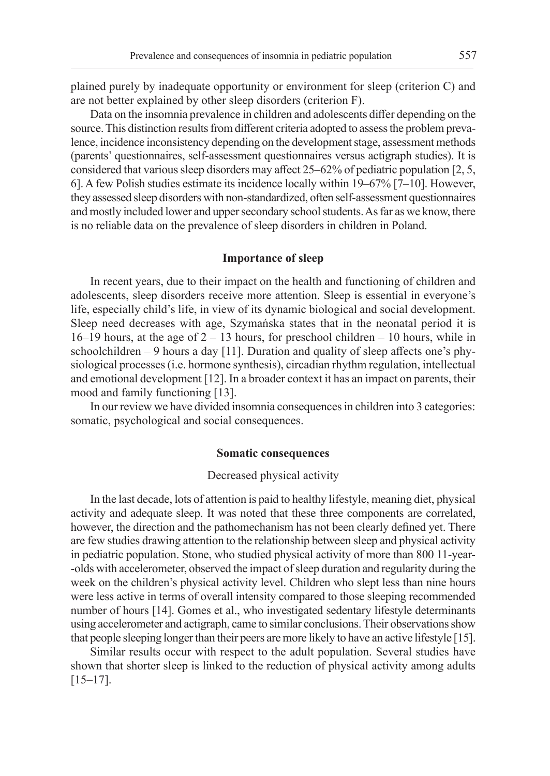plained purely by inadequate opportunity or environment for sleep (criterion C) and are not better explained by other sleep disorders (criterion F).

Data on the insomnia prevalence in children and adolescents differ depending on the source. This distinction results from different criteria adopted to assess the problem prevalence, incidence inconsistency depending on the development stage, assessment methods (parents' questionnaires, self-assessment questionnaires versus actigraph studies). It is considered that various sleep disorders may affect 25–62% of pediatric population [2, 5, 6]. A few Polish studies estimate its incidence locally within 19–67% [7–10]. However, they assessed sleep disorders with non-standardized, often self-assessment questionnaires and mostly included lower and upper secondary school students. As far as we know, there is no reliable data on the prevalence of sleep disorders in children in Poland.

#### **Importance of sleep**

In recent years, due to their impact on the health and functioning of children and adolescents, sleep disorders receive more attention. Sleep is essential in everyone's life, especially child's life, in view of its dynamic biological and social development. Sleep need decreases with age, Szymańska states that in the neonatal period it is  $16-19$  hours, at the age of  $2 - 13$  hours, for preschool children  $-10$  hours, while in schoolchildren – 9 hours a day [11]. Duration and quality of sleep affects one's physiological processes (i.e. hormone synthesis), circadian rhythm regulation, intellectual and emotional development [12]. In a broader context it has an impact on parents, their mood and family functioning [13].

In our review we have divided insomnia consequences in children into 3 categories: somatic, psychological and social consequences.

## **Somatic consequences**

#### Decreased physical activity

In the last decade, lots of attention is paid to healthy lifestyle, meaning diet, physical activity and adequate sleep. It was noted that these three components are correlated, however, the direction and the pathomechanism has not been clearly defined yet. There are few studies drawing attention to the relationship between sleep and physical activity in pediatric population. Stone, who studied physical activity of more than 800 11-year- -olds with accelerometer, observed the impact of sleep duration and regularity during the week on the children's physical activity level. Children who slept less than nine hours were less active in terms of overall intensity compared to those sleeping recommended number of hours [14]. Gomes et al., who investigated sedentary lifestyle determinants using accelerometer and actigraph, came to similar conclusions. Their observations show that people sleeping longer than their peers are more likely to have an active lifestyle [15].

Similar results occur with respect to the adult population. Several studies have shown that shorter sleep is linked to the reduction of physical activity among adults [15–17].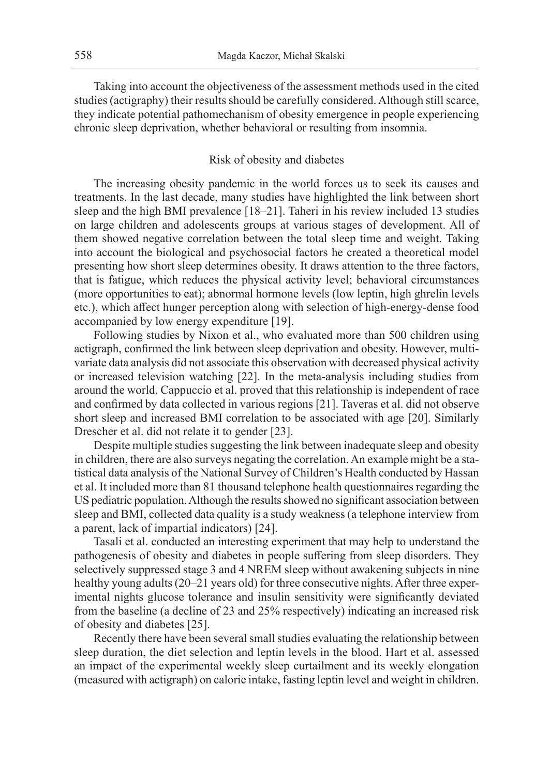Taking into account the objectiveness of the assessment methods used in the cited studies (actigraphy) their results should be carefully considered. Although still scarce, they indicate potential pathomechanism of obesity emergence in people experiencing chronic sleep deprivation, whether behavioral or resulting from insomnia.

## Risk of obesity and diabetes

The increasing obesity pandemic in the world forces us to seek its causes and treatments. In the last decade, many studies have highlighted the link between short sleep and the high BMI prevalence [18–21]. Taheri in his review included 13 studies on large children and adolescents groups at various stages of development. All of them showed negative correlation between the total sleep time and weight. Taking into account the biological and psychosocial factors he created a theoretical model presenting how short sleep determines obesity. It draws attention to the three factors, that is fatigue, which reduces the physical activity level; behavioral circumstances (more opportunities to eat); abnormal hormone levels (low leptin, high ghrelin levels etc.), which affect hunger perception along with selection of high-energy-dense food accompanied by low energy expenditure [19].

Following studies by Nixon et al., who evaluated more than 500 children using actigraph, confirmed the link between sleep deprivation and obesity. However, multivariate data analysis did not associate this observation with decreased physical activity or increased television watching [22]. In the meta-analysis including studies from around the world, Cappuccio et al. proved that this relationship is independent of race and confirmed by data collected in various regions [21]. Taveras et al. did not observe short sleep and increased BMI correlation to be associated with age [20]. Similarly Drescher et al. did not relate it to gender [23].

Despite multiple studies suggesting the link between inadequate sleep and obesity in children, there are also surveys negating the correlation. An example might be a statistical data analysis of the National Survey of Children's Health conducted by Hassan et al. It included more than 81 thousand telephone health questionnaires regarding the US pediatric population. Although the results showed no significant association between sleep and BMI, collected data quality is a study weakness (a telephone interview from a parent, lack of impartial indicators) [24].

Tasali et al. conducted an interesting experiment that may help to understand the pathogenesis of obesity and diabetes in people suffering from sleep disorders. They selectively suppressed stage 3 and 4 NREM sleep without awakening subjects in nine healthy young adults (20–21 years old) for three consecutive nights. After three experimental nights glucose tolerance and insulin sensitivity were significantly deviated from the baseline (a decline of 23 and 25% respectively) indicating an increased risk of obesity and diabetes [25].

Recently there have been several small studies evaluating the relationship between sleep duration, the diet selection and leptin levels in the blood. Hart et al. assessed an impact of the experimental weekly sleep curtailment and its weekly elongation (measured with actigraph) on calorie intake, fasting leptin level and weight in children.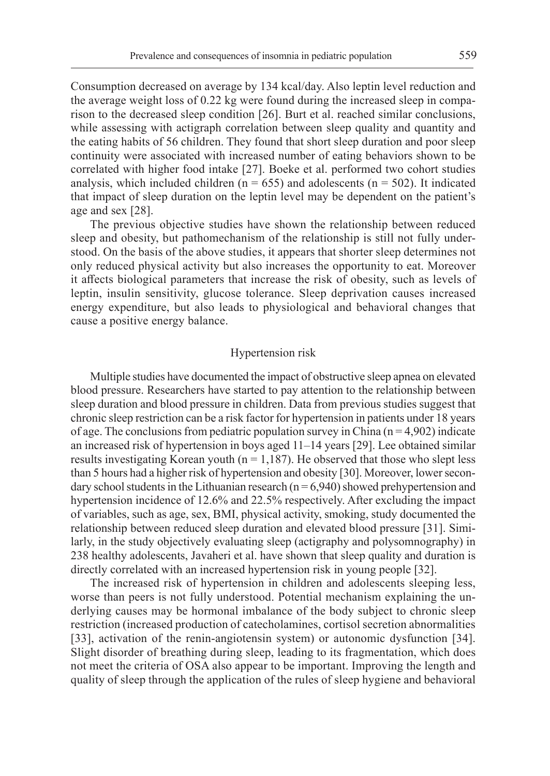Consumption decreased on average by 134 kcal/day. Also leptin level reduction and the average weight loss of 0.22 kg were found during the increased sleep in comparison to the decreased sleep condition [26]. Burt et al. reached similar conclusions, while assessing with actigraph correlation between sleep quality and quantity and the eating habits of 56 children. They found that short sleep duration and poor sleep continuity were associated with increased number of eating behaviors shown to be correlated with higher food intake [27]. Boeke et al. performed two cohort studies analysis, which included children ( $n = 655$ ) and adolescents ( $n = 502$ ). It indicated that impact of sleep duration on the leptin level may be dependent on the patient's age and sex [28].

The previous objective studies have shown the relationship between reduced sleep and obesity, but pathomechanism of the relationship is still not fully understood. On the basis of the above studies, it appears that shorter sleep determines not only reduced physical activity but also increases the opportunity to eat. Moreover it affects biological parameters that increase the risk of obesity, such as levels of leptin, insulin sensitivity, glucose tolerance. Sleep deprivation causes increased energy expenditure, but also leads to physiological and behavioral changes that cause a positive energy balance.

#### Hypertension risk

Multiple studies have documented the impact of obstructive sleep apnea on elevated blood pressure. Researchers have started to pay attention to the relationship between sleep duration and blood pressure in children. Data from previous studies suggest that chronic sleep restriction can be a risk factor for hypertension in patients under 18 years of age. The conclusions from pediatric population survey in China ( $n = 4,902$ ) indicate an increased risk of hypertension in boys aged 11–14 years [29]. Lee obtained similar results investigating Korean youth ( $n = 1,187$ ). He observed that those who slept less than 5 hours had a higher risk of hypertension and obesity [30]. Moreover, lower secondary school students in the Lithuanian research ( $n = 6,940$ ) showed prehypertension and hypertension incidence of 12.6% and 22.5% respectively. After excluding the impact of variables, such as age, sex, BMI, physical activity, smoking, study documented the relationship between reduced sleep duration and elevated blood pressure [31]. Similarly, in the study objectively evaluating sleep (actigraphy and polysomnography) in 238 healthy adolescents, Javaheri et al. have shown that sleep quality and duration is directly correlated with an increased hypertension risk in young people [32].

The increased risk of hypertension in children and adolescents sleeping less, worse than peers is not fully understood. Potential mechanism explaining the underlying causes may be hormonal imbalance of the body subject to chronic sleep restriction (increased production of catecholamines, cortisol secretion abnormalities [33], activation of the renin-angiotensin system) or autonomic dysfunction [34]. Slight disorder of breathing during sleep, leading to its fragmentation, which does not meet the criteria of OSA also appear to be important. Improving the length and quality of sleep through the application of the rules of sleep hygiene and behavioral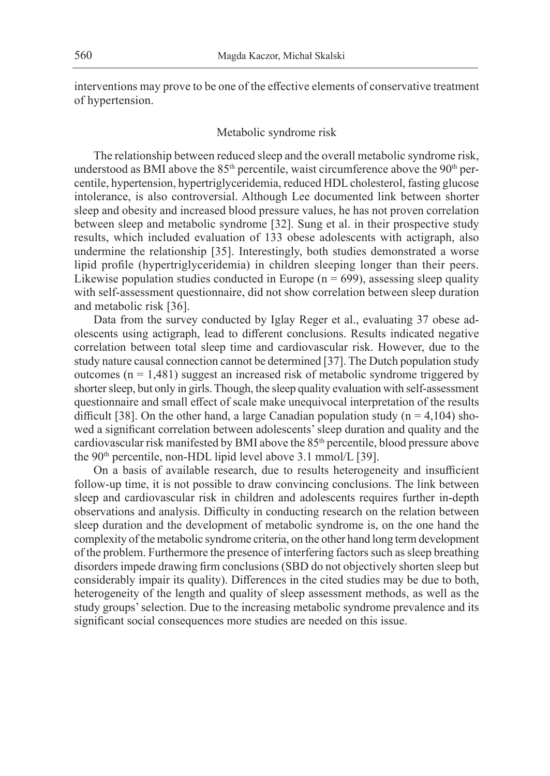interventions may prove to be one of the effective elements of conservative treatment of hypertension.

#### Metabolic syndrome risk

The relationship between reduced sleep and the overall metabolic syndrome risk, understood as BMI above the 85<sup>th</sup> percentile, waist circumference above the 90<sup>th</sup> percentile, hypertension, hypertriglyceridemia, reduced HDL cholesterol, fasting glucose intolerance, is also controversial. Although Lee documented link between shorter sleep and obesity and increased blood pressure values, he has not proven correlation between sleep and metabolic syndrome [32]. Sung et al. in their prospective study results, which included evaluation of 133 obese adolescents with actigraph, also undermine the relationship [35]. Interestingly, both studies demonstrated a worse lipid profile (hypertriglyceridemia) in children sleeping longer than their peers. Likewise population studies conducted in Europe ( $n = 699$ ), assessing sleep quality with self-assessment questionnaire, did not show correlation between sleep duration and metabolic risk [36].

Data from the survey conducted by Iglay Reger et al., evaluating 37 obese adolescents using actigraph, lead to different conclusions. Results indicated negative correlation between total sleep time and cardiovascular risk. However, due to the study nature causal connection cannot be determined [37]. The Dutch population study outcomes  $(n = 1,481)$  suggest an increased risk of metabolic syndrome triggered by shorter sleep, but only in girls. Though, the sleep quality evaluation with self-assessment questionnaire and small effect of scale make unequivocal interpretation of the results difficult [38]. On the other hand, a large Canadian population study ( $n = 4,104$ ) showed a significant correlation between adolescents' sleep duration and quality and the cardiovascular risk manifested by BMI above the 85th percentile, blood pressure above the 90<sup>th</sup> percentile, non-HDL lipid level above 3.1 mmol/L [39].

On a basis of available research, due to results heterogeneity and insufficient follow-up time, it is not possible to draw convincing conclusions. The link between sleep and cardiovascular risk in children and adolescents requires further in-depth observations and analysis. Difficulty in conducting research on the relation between sleep duration and the development of metabolic syndrome is, on the one hand the complexity of the metabolic syndrome criteria, on the other hand long term development of the problem. Furthermore the presence of interfering factors such as sleep breathing disorders impede drawing firm conclusions (SBD do not objectively shorten sleep but considerably impair its quality). Differences in the cited studies may be due to both, heterogeneity of the length and quality of sleep assessment methods, as well as the study groups' selection. Due to the increasing metabolic syndrome prevalence and its significant social consequences more studies are needed on this issue.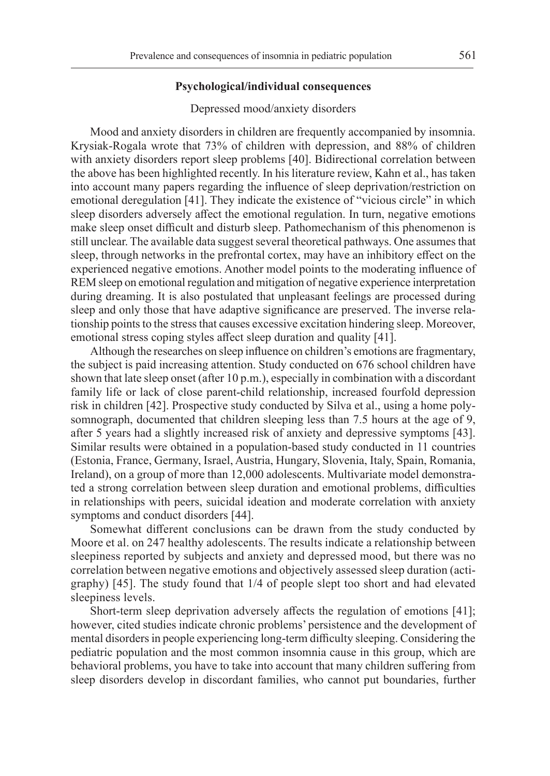#### **Psychological/individual consequences**

#### Depressed mood/anxiety disorders

Mood and anxiety disorders in children are frequently accompanied by insomnia. Krysiak-Rogala wrote that 73% of children with depression, and 88% of children with anxiety disorders report sleep problems [40]. Bidirectional correlation between the above has been highlighted recently. In his literature review, Kahn et al., has taken into account many papers regarding the influence of sleep deprivation/restriction on emotional deregulation [41]. They indicate the existence of "vicious circle" in which sleep disorders adversely affect the emotional regulation. In turn, negative emotions make sleep onset difficult and disturb sleep. Pathomechanism of this phenomenon is still unclear. The available data suggest several theoretical pathways. One assumes that sleep, through networks in the prefrontal cortex, may have an inhibitory effect on the experienced negative emotions. Another model points to the moderating influence of REM sleep on emotional regulation and mitigation of negative experience interpretation during dreaming. It is also postulated that unpleasant feelings are processed during sleep and only those that have adaptive significance are preserved. The inverse relationship points to the stress that causes excessive excitation hindering sleep. Moreover, emotional stress coping styles affect sleep duration and quality [41].

Although the researches on sleep influence on children's emotions are fragmentary, the subject is paid increasing attention. Study conducted on 676 school children have shown that late sleep onset (after 10 p.m.), especially in combination with a discordant family life or lack of close parent-child relationship, increased fourfold depression risk in children [42]. Prospective study conducted by Silva et al., using a home polysomnograph, documented that children sleeping less than 7.5 hours at the age of 9, after 5 years had a slightly increased risk of anxiety and depressive symptoms [43]. Similar results were obtained in a population-based study conducted in 11 countries (Estonia, France, Germany, Israel, Austria, Hungary, Slovenia, Italy, Spain, Romania, Ireland), on a group of more than 12,000 adolescents. Multivariate model demonstrated a strong correlation between sleep duration and emotional problems, difficulties in relationships with peers, suicidal ideation and moderate correlation with anxiety symptoms and conduct disorders [44].

Somewhat different conclusions can be drawn from the study conducted by Moore et al. on 247 healthy adolescents. The results indicate a relationship between sleepiness reported by subjects and anxiety and depressed mood, but there was no correlation between negative emotions and objectively assessed sleep duration (actigraphy) [45]. The study found that 1/4 of people slept too short and had elevated sleepiness levels.

Short-term sleep deprivation adversely affects the regulation of emotions [41]; however, cited studies indicate chronic problems' persistence and the development of mental disorders in people experiencing long-term difficulty sleeping. Considering the pediatric population and the most common insomnia cause in this group, which are behavioral problems, you have to take into account that many children suffering from sleep disorders develop in discordant families, who cannot put boundaries, further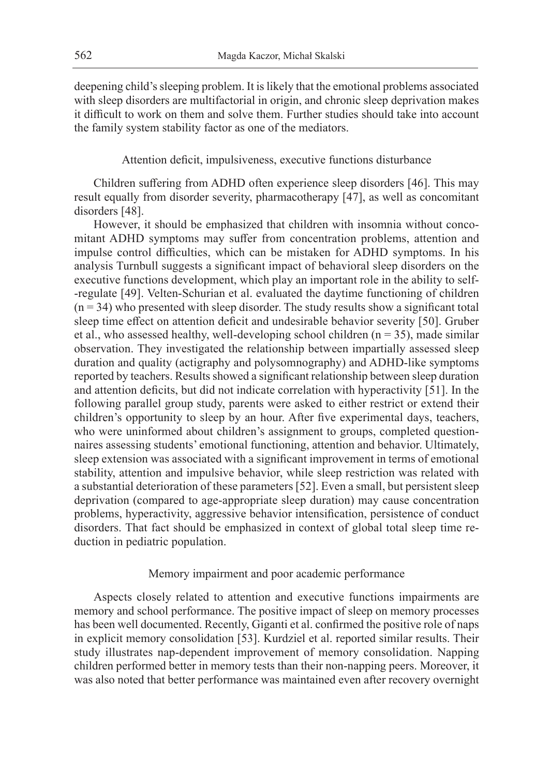deepening child's sleeping problem. It is likely that the emotional problems associated with sleep disorders are multifactorial in origin, and chronic sleep deprivation makes it difficult to work on them and solve them. Further studies should take into account the family system stability factor as one of the mediators.

Attention deficit, impulsiveness, executive functions disturbance

Children suffering from ADHD often experience sleep disorders [46]. This may result equally from disorder severity, pharmacotherapy [47], as well as concomitant disorders [48].

However, it should be emphasized that children with insomnia without concomitant ADHD symptoms may suffer from concentration problems, attention and impulse control difficulties, which can be mistaken for ADHD symptoms. In his analysis Turnbull suggests a significant impact of behavioral sleep disorders on the executive functions development, which play an important role in the ability to self- -regulate [49]. Velten-Schurian et al. evaluated the daytime functioning of children  $(n = 34)$  who presented with sleep disorder. The study results show a significant total sleep time effect on attention deficit and undesirable behavior severity [50]. Gruber et al., who assessed healthy, well-developing school children  $(n = 35)$ , made similar observation. They investigated the relationship between impartially assessed sleep duration and quality (actigraphy and polysomnography) and ADHD-like symptoms reported by teachers. Results showed a significant relationship between sleep duration and attention deficits, but did not indicate correlation with hyperactivity [51]. In the following parallel group study, parents were asked to either restrict or extend their children's opportunity to sleep by an hour. After five experimental days, teachers, who were uninformed about children's assignment to groups, completed questionnaires assessing students' emotional functioning, attention and behavior. Ultimately, sleep extension was associated with a significant improvement in terms of emotional stability, attention and impulsive behavior, while sleep restriction was related with a substantial deterioration of these parameters [52]. Even a small, but persistent sleep deprivation (compared to age-appropriate sleep duration) may cause concentration problems, hyperactivity, aggressive behavior intensification, persistence of conduct disorders. That fact should be emphasized in context of global total sleep time reduction in pediatric population.

## Memory impairment and poor academic performance

Aspects closely related to attention and executive functions impairments are memory and school performance. The positive impact of sleep on memory processes has been well documented. Recently, Giganti et al. confirmed the positive role of naps in explicit memory consolidation [53]. Kurdziel et al. reported similar results. Their study illustrates nap-dependent improvement of memory consolidation. Napping children performed better in memory tests than their non-napping peers. Moreover, it was also noted that better performance was maintained even after recovery overnight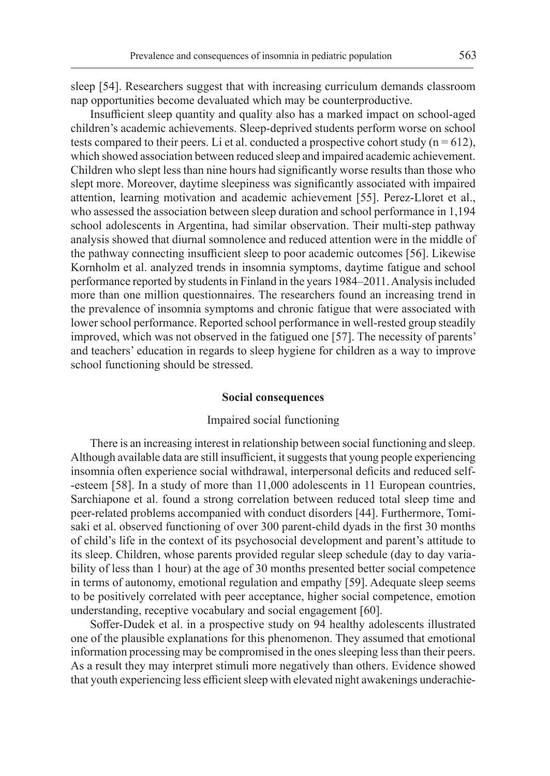sleep [54]. Researchers suggest that with increasing curriculum demands classroom nap opportunities become devaluated which may be counterproductive.

Insufficient sleep quantity and quality also has a marked impact on school-aged children's academic achievements. Sleep-deprived students perform worse on school tests compared to their peers. Li et al. conducted a prospective cohort study  $(n = 612)$ , which showed association between reduced sleep and impaired academic achievement. Children who slept less than nine hours had significantly worse results than those who slept more. Moreover, daytime sleepiness was significantly associated with impaired attention, learning motivation and academic achievement [55]. Perez-Lloret et al., who assessed the association between sleep duration and school performance in 1,194 school adolescents in Argentina, had similar observation. Their multi-step pathway analysis showed that diurnal somnolence and reduced attention were in the middle of the pathway connecting insufficient sleep to poor academic outcomes [56]. Likewise Kornholm et al. analyzed trends in insomnia symptoms, daytime fatigue and school performance reported by students in Finland in the years 1984–2011. Analysis included more than one million questionnaires. The researchers found an increasing trend in the prevalence of insomnia symptoms and chronic fatigue that were associated with lower school performance. Reported school performance in well-rested group steadily improved, which was not observed in the fatigued one [57]. The necessity of parents' and teachers' education in regards to sleep hygiene for children as a way to improve school functioning should be stressed.

#### **Social consequences**

## Impaired social functioning

There is an increasing interest in relationship between social functioning and sleep. Although available data are still insufficient, it suggests that young people experiencing insomnia often experience social withdrawal, interpersonal deficits and reduced self- -esteem [58]. In a study of more than 11,000 adolescents in 11 European countries, Sarchiapone et al. found a strong correlation between reduced total sleep time and peer-related problems accompanied with conduct disorders [44]. Furthermore, Tomisaki et al. observed functioning of over 300 parent-child dyads in the first 30 months of child's life in the context of its psychosocial development and parent's attitude to its sleep. Children, whose parents provided regular sleep schedule (day to day variability of less than 1 hour) at the age of 30 months presented better social competence in terms of autonomy, emotional regulation and empathy [59]. Adequate sleep seems to be positively correlated with peer acceptance, higher social competence, emotion understanding, receptive vocabulary and social engagement [60].

Soffer-Dudek et al. in a prospective study on 94 healthy adolescents illustrated one of the plausible explanations for this phenomenon. They assumed that emotional information processing may be compromised in the ones sleeping less than their peers. As a result they may interpret stimuli more negatively than others. Evidence showed that youth experiencing less efficient sleep with elevated night awakenings underachie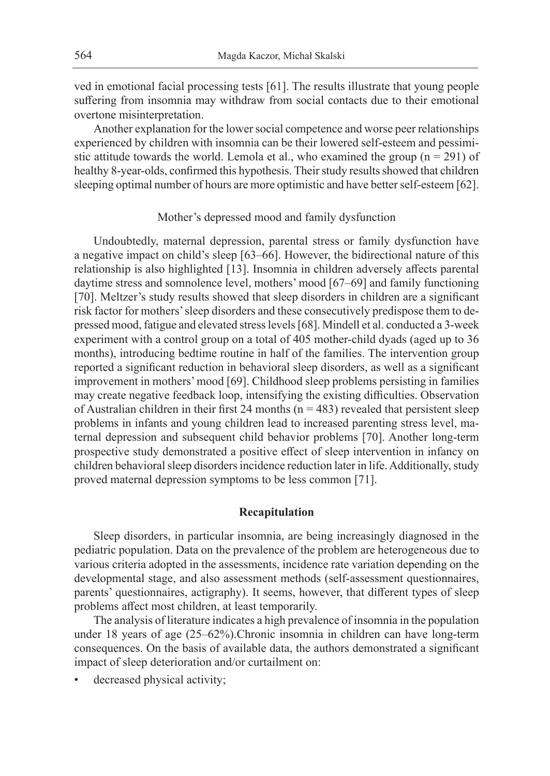ved in emotional facial processing tests [61]. The results illustrate that young people suffering from insomnia may withdraw from social contacts due to their emotional overtone misinterpretation.

Another explanation for the lower social competence and worse peer relationships experienced by children with insomnia can be their lowered self-esteem and pessimistic attitude towards the world. Lemola et al., who examined the group  $(n = 291)$  of healthy 8-year-olds, confirmed this hypothesis. Their study results showed that children sleeping optimal number of hours are more optimistic and have better self-esteem [62].

## Mother's depressed mood and family dysfunction

Undoubtedly, maternal depression, parental stress or family dysfunction have a negative impact on child's sleep [63–66]. However, the bidirectional nature of this relationship is also highlighted [13]. Insomnia in children adversely affects parental daytime stress and somnolence level, mothers' mood [67–69] and family functioning [70]. Meltzer's study results showed that sleep disorders in children are a significant risk factor for mothers' sleep disorders and these consecutively predispose them to depressed mood, fatigue and elevated stress levels [68]. Mindell et al. conducted a 3-week experiment with a control group on a total of 405 mother-child dyads (aged up to 36 months), introducing bedtime routine in half of the families. The intervention group reported a significant reduction in behavioral sleep disorders, as well as a significant improvement in mothers' mood [69]. Childhood sleep problems persisting in families may create negative feedback loop, intensifying the existing difficulties. Observation of Australian children in their first 24 months ( $n = 483$ ) revealed that persistent sleep problems in infants and young children lead to increased parenting stress level, maternal depression and subsequent child behavior problems [70]. Another long-term prospective study demonstrated a positive effect of sleep intervention in infancy on children behavioral sleep disorders incidence reduction later in life. Additionally, study proved maternal depression symptoms to be less common [71].

## **Recapitulation**

Sleep disorders, in particular insomnia, are being increasingly diagnosed in the pediatric population. Data on the prevalence of the problem are heterogeneous due to various criteria adopted in the assessments, incidence rate variation depending on the developmental stage, and also assessment methods (self-assessment questionnaires, parents' questionnaires, actigraphy). It seems, however, that different types of sleep problems affect most children, at least temporarily.

The analysis of literature indicates a high prevalence of insomnia in the population under 18 years of age (25–62%).Chronic insomnia in children can have long-term consequences. On the basis of available data, the authors demonstrated a significant impact of sleep deterioration and/or curtailment on:

decreased physical activity;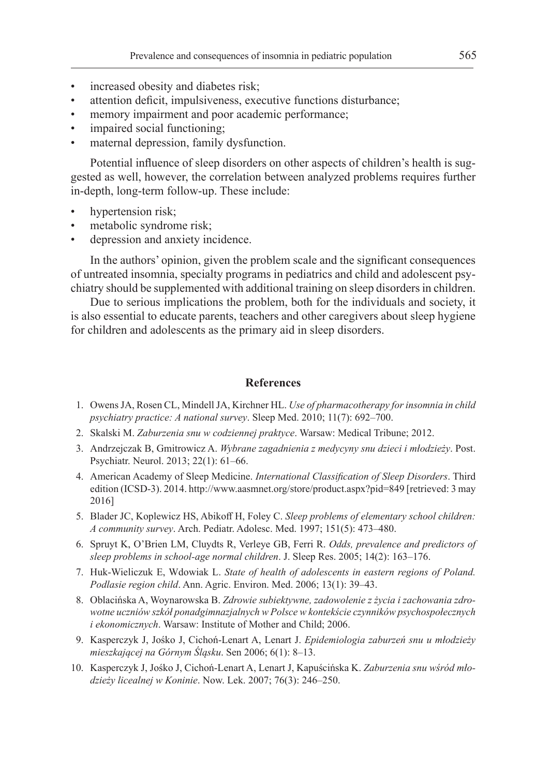- increased obesity and diabetes risk;
- attention deficit, impulsiveness, executive functions disturbance;
- memory impairment and poor academic performance;
- impaired social functioning;
- maternal depression, family dysfunction.

Potential influence of sleep disorders on other aspects of children's health is suggested as well, however, the correlation between analyzed problems requires further in-depth, long-term follow-up. These include:

- hypertension risk;
- metabolic syndrome risk;
- depression and anxiety incidence.

In the authors' opinion, given the problem scale and the significant consequences of untreated insomnia, specialty programs in pediatrics and child and adolescent psychiatry should be supplemented with additional training on sleep disorders in children.

Due to serious implications the problem, both for the individuals and society, it is also essential to educate parents, teachers and other caregivers about sleep hygiene for children and adolescents as the primary aid in sleep disorders.

# **References**

- 1. Owens JA, Rosen CL, Mindell JA, Kirchner HL. *Use of pharmacotherapy for insomnia in child psychiatry practice: A national survey*. Sleep Med. 2010; 11(7): 692–700.
- 2. Skalski M. *Zaburzenia snu w codziennej praktyce*. Warsaw: Medical Tribune; 2012.
- 3. Andrzejczak B, Gmitrowicz A. *Wybrane zagadnienia z medycyny snu dzieci i młodzieży*. Post. Psychiatr. Neurol. 2013; 22(1): 61–66.
- 4. American Academy of Sleep Medicine. *International Classification of Sleep Disorders*. Third edition (ICSD-3). 2014. http://www.aasmnet.org/store/product.aspx?pid=849 [retrieved: 3 may 2016]
- 5. Blader JC, Koplewicz HS, Abikoff H, Foley C. *Sleep problems of elementary school children: A community survey*. Arch. Pediatr. Adolesc. Med. 1997; 151(5): 473–480.
- 6. Spruyt K, O'Brien LM, Cluydts R, Verleye GB, Ferri R. *Odds, prevalence and predictors of sleep problems in school-age normal children*. J. Sleep Res. 2005; 14(2): 163–176.
- 7. Huk-Wieliczuk E, Wdowiak L. *State of health of adolescents in eastern regions of Poland. Podlasie region child*. Ann. Agric. Environ. Med. 2006; 13(1): 39–43.
- 8. Oblacińska A, Woynarowska B. *Zdrowie subiektywne, zadowolenie z życia i zachowania zdrowotne uczniów szkół ponadgimnazjalnych w Polsce w kontekście czynników psychospołecznych i ekonomicznych*. Warsaw: Institute of Mother and Child; 2006.
- 9. Kasperczyk J, Jośko J, Cichoń-Lenart A, Lenart J. *Epidemiologia zaburzeń snu u młodzieży mieszkającej na Górnym Śląsku*. Sen 2006; 6(1): 8–13.
- 10. Kasperczyk J, Jośko J, Cichoń-Lenart A, Lenart J, Kapuścińska K. *Zaburzenia snu wśród młodzieży licealnej w Koninie*. Now. Lek. 2007; 76(3): 246–250.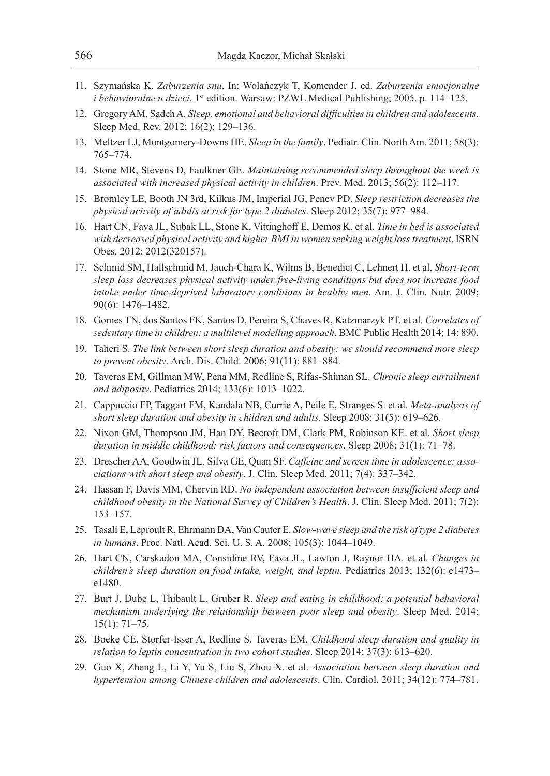- 11. Szymańska K. *Zaburzenia snu*. In: Wolańczyk T, Komender J. ed. *Zaburzenia emocjonalne i behawioralne u dzieci*. 1<sup>st</sup> edition. Warsaw: PZWL Medical Publishing; 2005. p. 114–125.
- 12. Gregory AM, Sadeh A. *Sleep, emotional and behavioral difficulties in children and adolescents*. Sleep Med. Rev. 2012; 16(2): 129–136.
- 13. Meltzer LJ, Montgomery-Downs HE. *Sleep in the family*. Pediatr. Clin. North Am. 2011; 58(3): 765–774.
- 14. Stone MR, Stevens D, Faulkner GE. *Maintaining recommended sleep throughout the week is associated with increased physical activity in children*. Prev. Med. 2013; 56(2): 112–117.
- 15. Bromley LE, Booth JN 3rd, Kilkus JM, Imperial JG, Penev PD. *Sleep restriction decreases the physical activity of adults at risk for type 2 diabetes*. Sleep 2012; 35(7): 977–984.
- 16. Hart CN, Fava JL, Subak LL, Stone K, Vittinghoff E, Demos K. et al. *Time in bed is associated with decreased physical activity and higher BMI in women seeking weight loss treatment*. ISRN Obes. 2012; 2012(320157).
- 17. Schmid SM, Hallschmid M, Jauch-Chara K, Wilms B, Benedict C, Lehnert H. et al. *Short-term sleep loss decreases physical activity under free-living conditions but does not increase food intake under time-deprived laboratory conditions in healthy men*. Am. J. Clin. Nutr. 2009; 90(6): 1476–1482.
- 18. Gomes TN, dos Santos FK, Santos D, Pereira S, Chaves R, Katzmarzyk PT. et al. *Correlates of sedentary time in children: a multilevel modelling approach*. BMC Public Health 2014; 14: 890.
- 19. Taheri S. *The link between short sleep duration and obesity: we should recommend more sleep to prevent obesity*. Arch. Dis. Child. 2006; 91(11): 881–884.
- 20. Taveras EM, Gillman MW, Pena MM, Redline S, Rifas-Shiman SL. *Chronic sleep curtailment and adiposity*. Pediatrics 2014; 133(6): 1013–1022.
- 21. Cappuccio FP, Taggart FM, Kandala NB, Currie A, Peile E, Stranges S. et al. *Meta-analysis of short sleep duration and obesity in children and adults*. Sleep 2008; 31(5): 619–626.
- 22. Nixon GM, Thompson JM, Han DY, Becroft DM, Clark PM, Robinson KE. et al. *Short sleep duration in middle childhood: risk factors and consequences*. Sleep 2008; 31(1): 71–78.
- 23. Drescher AA, Goodwin JL, Silva GE, Quan SF. *Caffeine and screen time in adolescence: associations with short sleep and obesity*. J. Clin. Sleep Med. 2011; 7(4): 337–342.
- 24. Hassan F, Davis MM, Chervin RD. *No independent association between insufficient sleep and childhood obesity in the National Survey of Children's Health*. J. Clin. Sleep Med. 2011; 7(2): 153–157.
- 25. Tasali E, Leproult R, Ehrmann DA, Van Cauter E. *Slow-wave sleep and the risk of type 2 diabetes in humans*. Proc. Natl. Acad. Sci. U. S. A. 2008; 105(3): 1044–1049.
- 26. Hart CN, Carskadon MA, Considine RV, Fava JL, Lawton J, Raynor HA. et al. *Changes in children's sleep duration on food intake, weight, and leptin*. Pediatrics 2013; 132(6): e1473– e1480.
- 27. Burt J, Dube L, Thibault L, Gruber R. *Sleep and eating in childhood: a potential behavioral mechanism underlying the relationship between poor sleep and obesity*. Sleep Med. 2014; 15(1): 71–75.
- 28. Boeke CE, Storfer-Isser A, Redline S, Taveras EM. *Childhood sleep duration and quality in relation to leptin concentration in two cohort studies*. Sleep 2014; 37(3): 613–620.
- 29. Guo X, Zheng L, Li Y, Yu S, Liu S, Zhou X. et al. *Association between sleep duration and hypertension among Chinese children and adolescents*. Clin. Cardiol. 2011; 34(12): 774–781.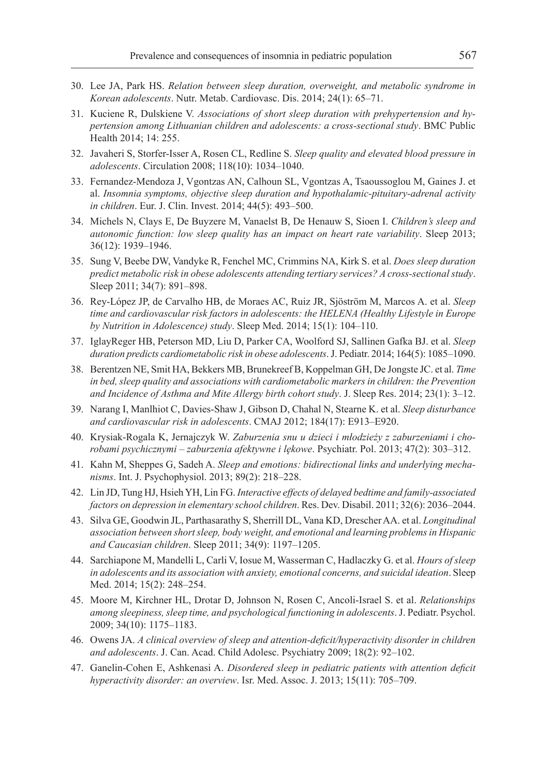- 30. Lee JA, Park HS. *Relation between sleep duration, overweight, and metabolic syndrome in Korean adolescents*. Nutr. Metab. Cardiovasc. Dis. 2014; 24(1): 65–71.
- 31. Kuciene R, Dulskiene V. *Associations of short sleep duration with prehypertension and hypertension among Lithuanian children and adolescents: a cross-sectional study*. BMC Public Health 2014; 14: 255.
- 32. Javaheri S, Storfer-Isser A, Rosen CL, Redline S. *Sleep quality and elevated blood pressure in adolescents*. Circulation 2008; 118(10): 1034–1040.
- 33. Fernandez-Mendoza J, Vgontzas AN, Calhoun SL, Vgontzas A, Tsaoussoglou M, Gaines J. et al. *Insomnia symptoms, objective sleep duration and hypothalamic-pituitary-adrenal activity in children*. Eur. J. Clin. Invest. 2014; 44(5): 493–500.
- 34. Michels N, Clays E, De Buyzere M, Vanaelst B, De Henauw S, Sioen I. *Children's sleep and autonomic function: low sleep quality has an impact on heart rate variability*. Sleep 2013; 36(12): 1939–1946.
- 35. Sung V, Beebe DW, Vandyke R, Fenchel MC, Crimmins NA, Kirk S. et al. *Does sleep duration predict metabolic risk in obese adolescents attending tertiary services? A cross-sectional study*. Sleep 2011; 34(7): 891–898.
- 36. Rey-López JP, de Carvalho HB, de Moraes AC, Ruiz JR, Sjöström M, Marcos A. et al. *Sleep time and cardiovascular risk factors in adolescents: the HELENA (Healthy Lifestyle in Europe by Nutrition in Adolescence) study*. Sleep Med. 2014; 15(1): 104–110.
- 37. IglayReger HB, Peterson MD, Liu D, Parker CA, Woolford SJ, Sallinen Gafka BJ. et al. *Sleep duration predicts cardiometabolic risk in obese adolescents*. J. Pediatr. 2014; 164(5): 1085–1090.
- 38. Berentzen NE, Smit HA, Bekkers MB, Brunekreef B, Koppelman GH, De Jongste JC. et al. *Time in bed, sleep quality and associations with cardiometabolic markers in children: the Prevention and Incidence of Asthma and Mite Allergy birth cohort study*. J. Sleep Res. 2014; 23(1): 3–12.
- 39. Narang I, Manlhiot C, Davies-Shaw J, Gibson D, Chahal N, Stearne K. et al. *Sleep disturbance and cardiovascular risk in adolescents*. CMAJ 2012; 184(17): E913–E920.
- 40. Krysiak-Rogala K, Jernajczyk W. *Zaburzenia snu u dzieci i młodzieży z zaburzeniami i chorobami psychicznymi – zaburzenia afektywne i lękowe*. Psychiatr. Pol. 2013; 47(2): 303–312.
- 41. Kahn M, Sheppes G, Sadeh A. *Sleep and emotions: bidirectional links and underlying mechanisms*. Int. J. Psychophysiol. 2013; 89(2): 218–228.
- 42. Lin JD, Tung HJ, Hsieh YH, Lin FG. *Interactive effects of delayed bedtime and family-associated factors on depression in elementary school children*. Res. Dev. Disabil. 2011; 32(6): 2036–2044.
- 43. Silva GE, Goodwin JL, Parthasarathy S, Sherrill DL, Vana KD, Drescher AA. et al. *Longitudinal association between short sleep, body weight, and emotional and learning problems in Hispanic and Caucasian children*. Sleep 2011; 34(9): 1197–1205.
- 44. Sarchiapone M, Mandelli L, Carli V, Iosue M, Wasserman C, Hadlaczky G. et al. *Hours of sleep in adolescents and its association with anxiety, emotional concerns, and suicidal ideation*. Sleep Med. 2014; 15(2): 248–254.
- 45. Moore M, Kirchner HL, Drotar D, Johnson N, Rosen C, Ancoli-Israel S. et al. *Relationships among sleepiness, sleep time, and psychological functioning in adolescents*. J. Pediatr. Psychol. 2009; 34(10): 1175–1183.
- 46. Owens JA. *A clinical overview of sleep and attention-deficit/hyperactivity disorder in children and adolescents*. J. Can. Acad. Child Adolesc. Psychiatry 2009; 18(2): 92–102.
- 47. Ganelin-Cohen E, Ashkenasi A. *Disordered sleep in pediatric patients with attention deficit hyperactivity disorder: an overview*. Isr. Med. Assoc. J. 2013; 15(11): 705–709.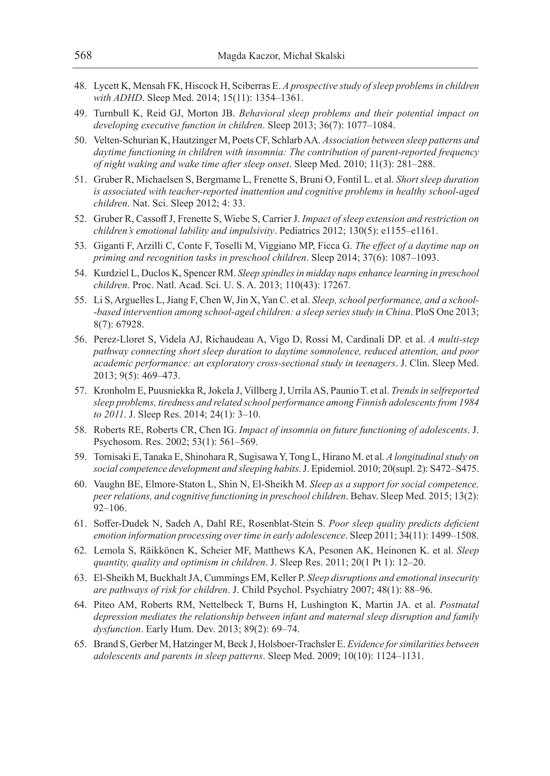- 48. Lycett K, Mensah FK, Hiscock H, Sciberras E. *A prospective study of sleep problems in children with ADHD*. Sleep Med. 2014; 15(11): 1354–1361.
- 49. Turnbull K, Reid GJ, Morton JB. *Behavioral sleep problems and their potential impact on developing executive function in children*. Sleep 2013; 36(7): 1077–1084.
- 50. Velten-Schurian K, Hautzinger M, Poets CF, Schlarb AA. *Association between sleep patterns and daytime functioning in children with insomnia: The contribution of parent-reported frequency of night waking and wake time after sleep onset*. Sleep Med. 2010; 11(3): 281–288.
- 51. Gruber R, Michaelsen S, Bergmame L, Frenette S, Bruni O, Fontil L. et al. *Short sleep duration is associated with teacher-reported inattention and cognitive problems in healthy school-aged children*. Nat. Sci. Sleep 2012; 4: 33.
- 52. Gruber R, Cassoff J, Frenette S, Wiebe S, Carrier J. *Impact of sleep extension and restriction on children's emotional lability and impulsivity*. Pediatrics 2012; 130(5): e1155–e1161.
- 53. Giganti F, Arzilli C, Conte F, Toselli M, Viggiano MP, Ficca G. *The effect of a daytime nap on priming and recognition tasks in preschool children*. Sleep 2014; 37(6): 1087–1093.
- 54. Kurdziel L, Duclos K, Spencer RM. *Sleep spindles in midday naps enhance learning in preschool children*. Proc. Natl. Acad. Sci. U. S. A. 2013; 110(43): 17267.
- 55. Li S, Arguelles L, Jiang F, Chen W, Jin X, Yan C. et al. *Sleep, school performance, and a school- -based intervention among school-aged children: a sleep series study in China*. PloS One 2013; 8(7): 67928.
- 56. Perez-Lloret S, Videla AJ, Richaudeau A, Vigo D, Rossi M, Cardinali DP. et al. *A multi-step pathway connecting short sleep duration to daytime somnolence, reduced attention, and poor academic performance: an exploratory cross-sectional study in teenagers*. J. Clin. Sleep Med. 2013; 9(5): 469–473.
- 57. Kronholm E, Puusniekka R, Jokela J, Villberg J, Urrila AS, Paunio T. et al. *Trends in selfreported sleep problems, tiredness and related school performance among Finnish adolescents from 1984 to 2011*. J. Sleep Res. 2014; 24(1): 3–10.
- 58. Roberts RE, Roberts CR, Chen IG. *Impact of insomnia on future functioning of adolescents*. J. Psychosom. Res. 2002; 53(1): 561–569.
- 59. Tomisaki E, Tanaka E, Shinohara R, Sugisawa Y, Tong L, Hirano M. et al. *A longitudinal study on social competence development and sleeping habits*. J. Epidemiol. 2010; 20(supl. 2): S472–S475.
- 60. Vaughn BE, Elmore-Staton L, Shin N, El-Sheikh M. *Sleep as a support for social competence, peer relations, and cognitive functioning in preschool children*. Behav. Sleep Med. 2015; 13(2): 92–106.
- 61. Soffer-Dudek N, Sadeh A, Dahl RE, Rosenblat-Stein S. *Poor sleep quality predicts deficient emotion information processing over time in early adolescence*. Sleep 2011; 34(11): 1499–1508.
- 62. Lemola S, Räikkönen K, Scheier MF, Matthews KA, Pesonen AK, Heinonen K. et al. *Sleep quantity, quality and optimism in children*. J. Sleep Res. 2011; 20(1 Pt 1): 12–20.
- 63. El-Sheikh M, Buckhalt JA, Cummings EM, Keller P. *Sleep disruptions and emotional insecurity are pathways of risk for children*. J. Child Psychol. Psychiatry 2007; 48(1): 88–96.
- 64. Piteo AM, Roberts RM, Nettelbeck T, Burns H, Lushington K, Martin JA. et al. *Postnatal depression mediates the relationship between infant and maternal sleep disruption and family dysfunction*. Early Hum. Dev. 2013; 89(2): 69–74.
- 65. Brand S, Gerber M, Hatzinger M, Beck J, Holsboer-Trachsler E. *Evidence for similarities between adolescents and parents in sleep patterns*. Sleep Med. 2009; 10(10): 1124–1131.